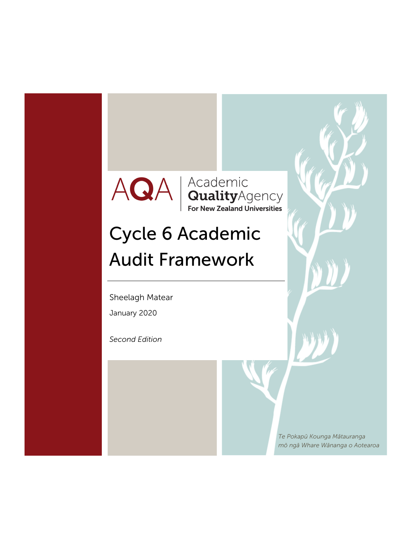### Academic<br> **Quality** Agency<br>
For New Zealand Universities AQA

# Cycle 6 Academic Audit Framework

Sheelagh Matear

January 2020

*Second Edition* 

*Te Pokapū Kounga Mātauranga mō ngā Whare Wānanga o Aotearoa*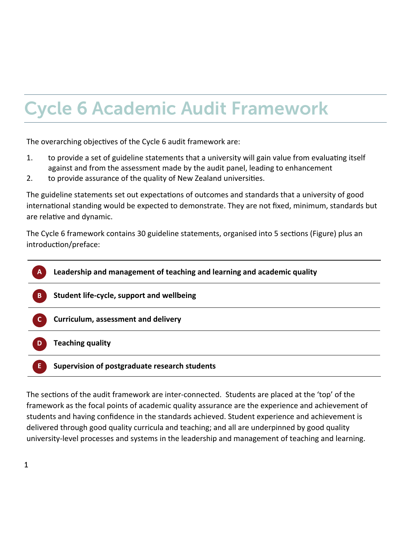# Cycle 6 Academic Audit Framework

The overarching objectives of the Cycle 6 audit framework are:

- 1. to provide a set of guideline statements that a university will gain value from evaluating itself against and from the assessment made by the audit panel, leading to enhancement
- 2. to provide assurance of the quality of New Zealand universities.

The guideline statements set out expectations of outcomes and standards that a university of good international standing would be expected to demonstrate. They are not fixed, minimum, standards but are relative and dynamic.

The Cycle 6 framework contains 30 guideline statements, organised into 5 sections (Figure) plus an introduction/preface:



The sections of the audit framework are inter-connected. Students are placed at the 'top' of the framework as the focal points of academic quality assurance are the experience and achievement of students and having confidence in the standards achieved. Student experience and achievement is delivered through good quality curricula and teaching; and all are underpinned by good quality university‐level processes and systems in the leadership and management of teaching and learning.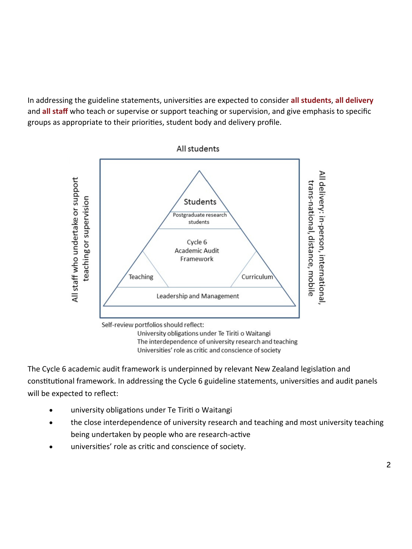In addressing the guideline statements, universiƟes are expected to consider **all students**, **all delivery** and **all staff** who teach or supervise or support teaching or supervision, and give emphasis to specific groups as appropriate to their priorities, student body and delivery profile.



University obligations under Te Tiriti o Waitangi The interdependence of university research and teaching Universities' role as critic and conscience of society

The Cycle 6 academic audit framework is underpinned by relevant New Zealand legislation and constitutional framework. In addressing the Cycle 6 guideline statements, universities and audit panels will be expected to reflect:

- university obligations under Te Tiriti o Waitangi
- the close interdependence of university research and teaching and most university teaching being undertaken by people who are research-active
- universities' role as critic and conscience of society.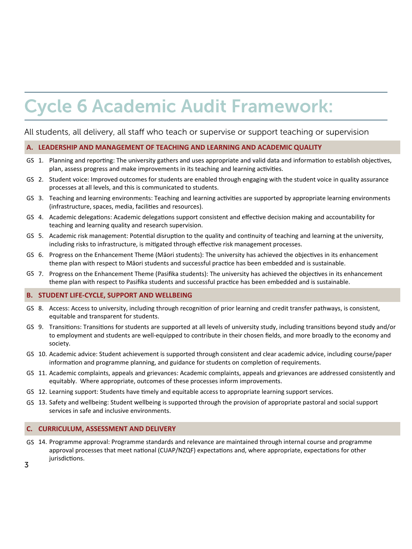### Cycle 6 Academic Audit Framework:

### All students, all delivery, all staff who teach or supervise or support teaching or supervision

#### **LEADERSHIP AND MANAGEMENT OF TEACHING AND LEARNING AND ACADEMIC QUALITY A.**

- GS 1. Planning and reporting: The university gathers and uses appropriate and valid data and information to establish objectives, plan, assess progress and make improvements in its teaching and learning activities.
- GS 2. Student voice: Improved outcomes for students are enabled through engaging with the student voice in quality assurance processes at all levels, and this is communicated to students.
- GS 3. Teaching and learning environments: Teaching and learning activities are supported by appropriate learning environments (infrastructure, spaces, media, facilities and resources).
- GS 4. Academic delegations: Academic delegations support consistent and effective decision making and accountability for teaching and learning quality and research supervision.
- GS 5. Academic risk management: Potential disruption to the quality and continuity of teaching and learning at the university, including risks to infrastructure, is mitigated through effective risk management processes.
- GS 6. Progress on the Enhancement Theme (Māori students): The university has achieved the objectives in its enhancement theme plan with respect to Māori students and successful practice has been embedded and is sustainable.
- GS 7. Progress on the Enhancement Theme (Pasifika students): The university has achieved the objectives in its enhancement theme plan with respect to Pasifika students and successful practice has been embedded and is sustainable.

#### **STUDENT LIFE‐CYCLE, SUPPORT AND WELLBEING B.**

- GS 8. Access: Access to university, including through recognition of prior learning and credit transfer pathways, is consistent, equitable and transparent for students.
- GS 9. Transitions: Transitions for students are supported at all levels of university study, including transitions beyond study and/or to employment and students are well‐equipped to contribute in their chosen fields, and more broadly to the economy and society.
- GS 10. Academic advice: Student achievement is supported through consistent and clear academic advice, including course/paper information and programme planning, and guidance for students on completion of requirements.
- GS 11. Academic complaints, appeals and grievances: Academic complaints, appeals and grievances are addressed consistently and equitably. Where appropriate, outcomes of these processes inform improvements.
- GS 12. Learning support: Students have timely and equitable access to appropriate learning support services.
- GS 13. Safety and wellbeing: Student wellbeing is supported through the provision of appropriate pastoral and social support services in safe and inclusive environments.

#### **CURRICULUM, ASSESSMENT AND DELIVERY C.**

- GS 14. Programme approval: Programme standards and relevance are maintained through internal course and programme approval processes that meet national (CUAP/NZQF) expectations and, where appropriate, expectations for other jurisdictions.
- 3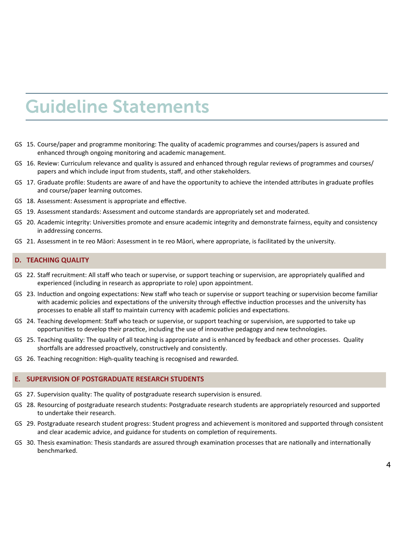### Guideline Statements

- GS 15. Course/paper and programme monitoring: The quality of academic programmes and courses/papers is assured and enhanced through ongoing monitoring and academic management.
- GS 16. Review: Curriculum relevance and quality is assured and enhanced through regular reviews of programmes and courses/ papers and which include input from students, staff, and other stakeholders.
- GS 17. Graduate profile: Students are aware of and have the opportunity to achieve the intended attributes in graduate profiles and course/paper learning outcomes.
- GS 18. Assessment: Assessment is appropriate and effective.
- GS 19. Assessment standards: Assessment and outcome standards are appropriately set and moderated.
- GS 20. Academic integrity: Universities promote and ensure academic integrity and demonstrate fairness, equity and consistency in addressing concerns.
- GS 21. Assessment in te reo Māori: Assessment in te reo Māori, where appropriate, is facilitated by the university.

#### **TEACHING QUALITY D.**

- GS 22. Staff recruitment: All staff who teach or supervise, or support teaching or supervision, are appropriately qualified and experienced (including in research as appropriate to role) upon appointment.
- GS 23. Induction and ongoing expectations: New staff who teach or supervise or support teaching or supervision become familiar with academic policies and expectations of the university through effective induction processes and the university has processes to enable all staff to maintain currency with academic policies and expectations.
- GS 24. Teaching development: Staff who teach or supervise, or support teaching or supervision, are supported to take up opportunities to develop their practice, including the use of innovative pedagogy and new technologies.
- GS 25. Teaching quality: The quality of all teaching is appropriate and is enhanced by feedback and other processes. Quality shortfalls are addressed proactively, constructively and consistently.
- GS 26. Teaching recognition: High-quality teaching is recognised and rewarded.

#### **SUPERVISION OF POSTGRADUATE RESEARCH STUDENTS E.**

- GS 27. Supervision quality: The quality of postgraduate research supervision is ensured.
- GS 28. Resourcing of postgraduate research students: Postgraduate research students are appropriately resourced and supported to undertake their research.
- GS 29. Postgraduate research student progress: Student progress and achievement is monitored and supported through consistent and clear academic advice, and guidance for students on completion of requirements.
- GS 30. Thesis examination: Thesis standards are assured through examination processes that are nationally and internationally benchmarked.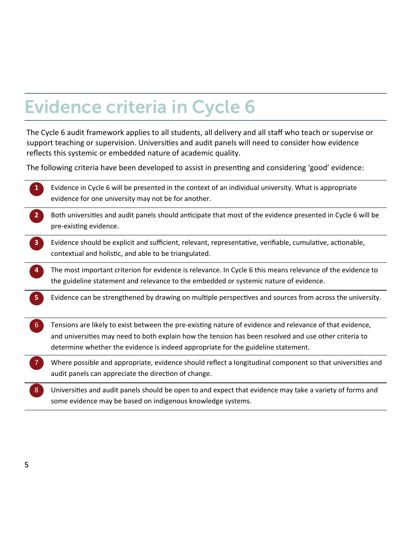### Evidence criteria in Cycle 6

The Cycle 6 audit framework applies to all students, all delivery and all staff who teach or supervise or support teaching or supervision. Universities and audit panels will need to consider how evidence reflects this systemic or embedded nature of academic quality.

The following criteria have been developed to assist in presenting and considering 'good' evidence:

| $\mathbf{1}$            | Evidence in Cycle 6 will be presented in the context of an individual university. What is appropriate<br>evidence for one university may not be for another.                                                                                                                                           |
|-------------------------|--------------------------------------------------------------------------------------------------------------------------------------------------------------------------------------------------------------------------------------------------------------------------------------------------------|
| $\overline{2}$          | Both universities and audit panels should anticipate that most of the evidence presented in Cycle 6 will be<br>pre-existing evidence.                                                                                                                                                                  |
| $\overline{\mathbf{3}}$ | Evidence should be explicit and sufficient, relevant, representative, verifiable, cumulative, actionable,<br>contextual and holistic, and able to be triangulated.                                                                                                                                     |
| 4                       | The most important criterion for evidence is relevance. In Cycle 6 this means relevance of the evidence to<br>the guideline statement and relevance to the embedded or systemic nature of evidence.                                                                                                    |
| 5                       | Evidence can be strengthened by drawing on multiple perspectives and sources from across the university.                                                                                                                                                                                               |
| 6 <sup>1</sup>          | Tensions are likely to exist between the pre-existing nature of evidence and relevance of that evidence,<br>and universities may need to both explain how the tension has been resolved and use other criteria to<br>determine whether the evidence is indeed appropriate for the guideline statement. |
|                         | Where possible and appropriate, evidence should reflect a longitudinal component so that universities and<br>audit panels can appreciate the direction of change.                                                                                                                                      |
| 8                       | Universities and audit panels should be open to and expect that evidence may take a variety of forms and<br>some evidence may be based on indigenous knowledge systems.                                                                                                                                |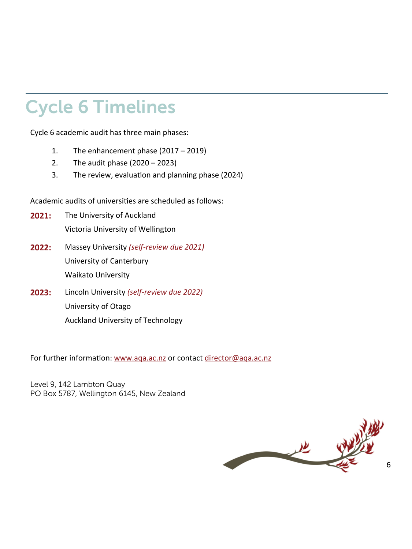### Cycle 6 Timelines

Cycle 6 academic audit has three main phases:

- 1. The enhancement phase (2017 2019)
- 2. The audit phase (2020 2023)
- 3. The review, evaluation and planning phase (2024)

Academic audits of universities are scheduled as follows:

- **2021:** The University of Auckland Victoria University of Wellington
- **2022:** Massey University *(self‐review due 2021)* University of Canterbury Waikato University
- **2023:** Lincoln University *(self‐review due 2022)* University of Otago Auckland University of Technology

For further information: www.aqa.ac.nz or contact director@aqa.ac.nz

Level 9, 142 Lambton Quay PO Box 5787, Wellington 6145, New Zealand